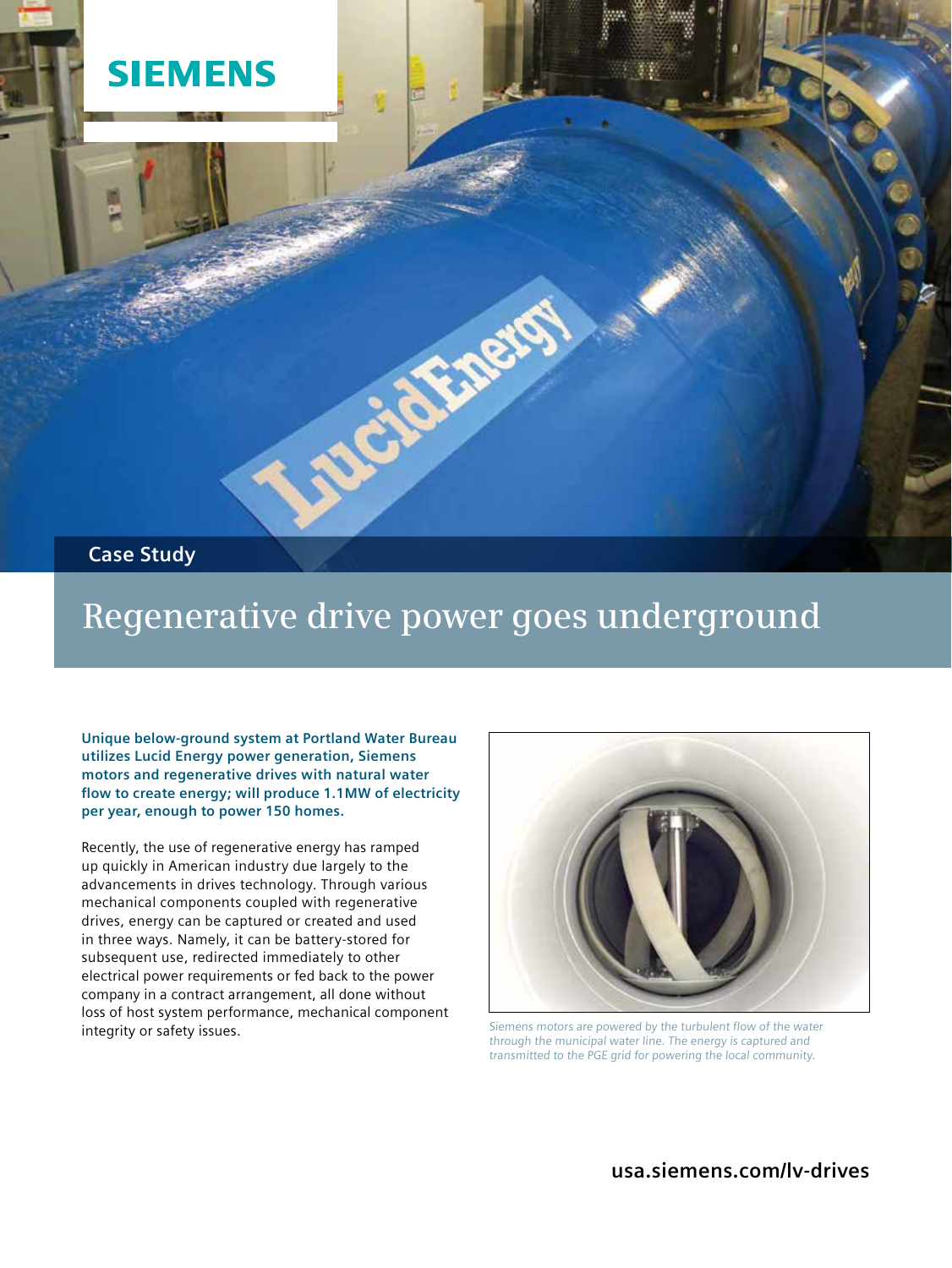

## **Regenerative drive power goes underground**

**Unique below-ground system at Portland Water Bureau utilizes Lucid Energy power generation, Siemens motors and regenerative drives with natural water flow to create energy; will produce 1.1MW of electricity per year, enough to power 150 homes.**

Recently, the use of regenerative energy has ramped up quickly in American industry due largely to the advancements in drives technology. Through various mechanical components coupled with regenerative drives, energy can be captured or created and used in three ways. Namely, it can be battery-stored for subsequent use, redirected immediately to other electrical power requirements or fed back to the power company in a contract arrangement, all done without loss of host system performance, mechanical component integrity or safety issues.



Siemens motors are powered by the turbulent flow of the water through the municipal water line. The energy is captured and transmitted to the PGE grid for powering the local community.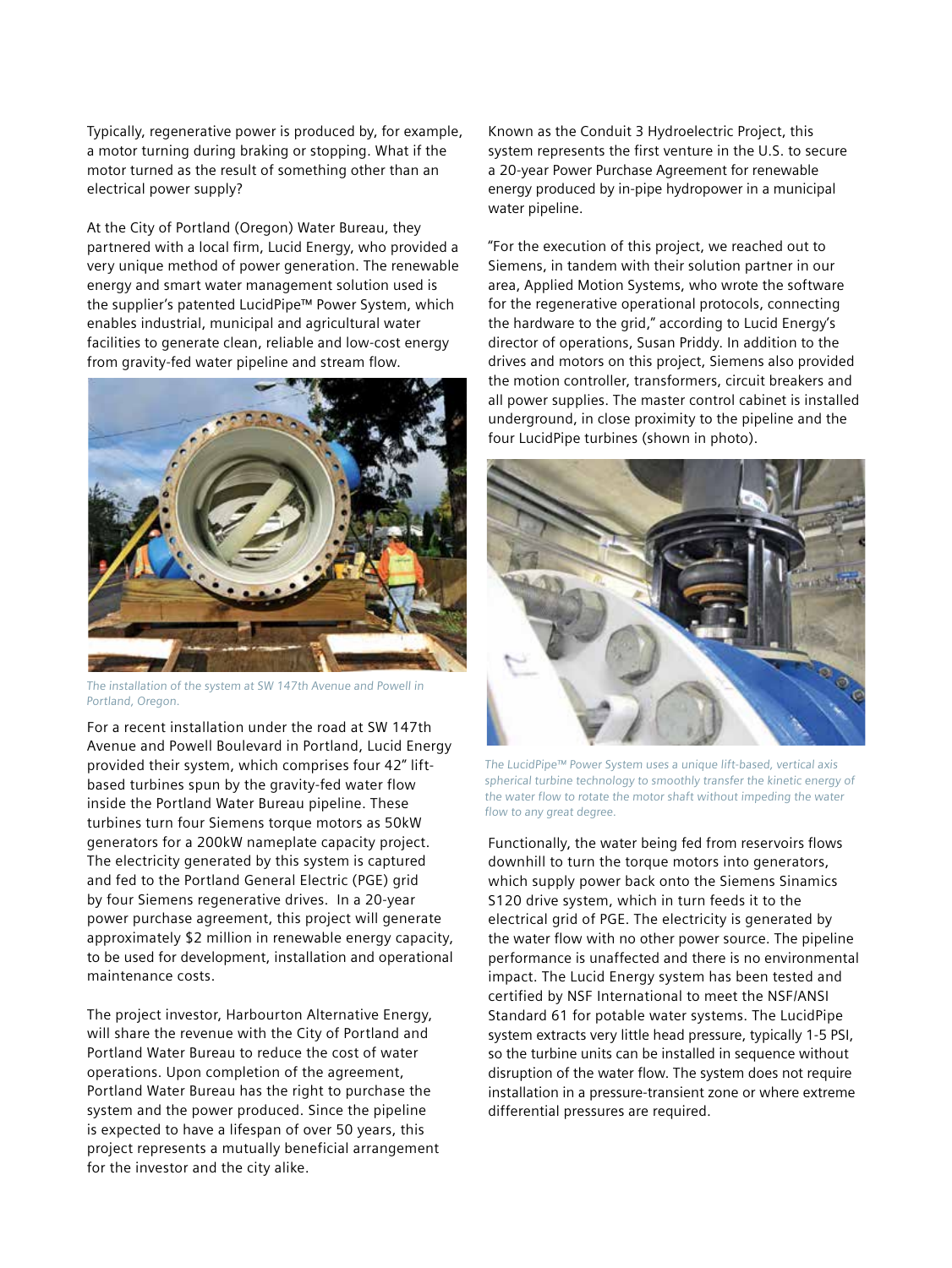Typically, regenerative power is produced by, for example, a motor turning during braking or stopping. What if the motor turned as the result of something other than an electrical power supply?

At the City of Portland (Oregon) Water Bureau, they partnered with a local firm, Lucid Energy, who provided a very unique method of power generation. The renewable energy and smart water management solution used is the supplier's patented LucidPipe™ Power System, which enables industrial, municipal and agricultural water facilities to generate clean, reliable and low-cost energy from gravity-fed water pipeline and stream flow.



The installation of the system at SW 147th Avenue and Powell in Portland, Oregon.

For a recent installation under the road at SW 147th Avenue and Powell Boulevard in Portland, Lucid Energy provided their system, which comprises four 42" liftbased turbines spun by the gravity-fed water flow inside the Portland Water Bureau pipeline. These turbines turn four Siemens torque motors as 50kW generators for a 200kW nameplate capacity project. The electricity generated by this system is captured and fed to the Portland General Electric (PGE) grid by four Siemens regenerative drives. In a 20-year power purchase agreement, this project will generate approximately \$2 million in renewable energy capacity, to be used for development, installation and operational maintenance costs.

The project investor, Harbourton Alternative Energy, will share the revenue with the City of Portland and Portland Water Bureau to reduce the cost of water operations. Upon completion of the agreement, Portland Water Bureau has the right to purchase the system and the power produced. Since the pipeline is expected to have a lifespan of over 50 years, this project represents a mutually beneficial arrangement for the investor and the city alike.

Known as the Conduit 3 Hydroelectric Project, this system represents the first venture in the U.S. to secure a 20-year Power Purchase Agreement for renewable energy produced by in-pipe hydropower in a municipal water pipeline.

"For the execution of this project, we reached out to Siemens, in tandem with their solution partner in our area, Applied Motion Systems, who wrote the software for the regenerative operational protocols, connecting the hardware to the grid," according to Lucid Energy's director of operations, Susan Priddy. In addition to the drives and motors on this project, Siemens also provided the motion controller, transformers, circuit breakers and all power supplies. The master control cabinet is installed underground, in close proximity to the pipeline and the four LucidPipe turbines (shown in photo).



 The LucidPipe™ Power System uses a unique lift-based, vertical axis spherical turbine technology to smoothly transfer the kinetic energy of the water flow to rotate the motor shaft without impeding the water flow to any great degree.

Functionally, the water being fed from reservoirs flows downhill to turn the torque motors into generators, which supply power back onto the Siemens Sinamics S120 drive system, which in turn feeds it to the electrical grid of PGE. The electricity is generated by the water flow with no other power source. The pipeline performance is unaffected and there is no environmental impact. The Lucid Energy system has been tested and certified by NSF International to meet the NSF/ANSI Standard 61 for potable water systems. The LucidPipe system extracts very little head pressure, typically 1-5 PSI, so the turbine units can be installed in sequence without disruption of the water flow. The system does not require installation in a pressure-transient zone or where extreme differential pressures are required.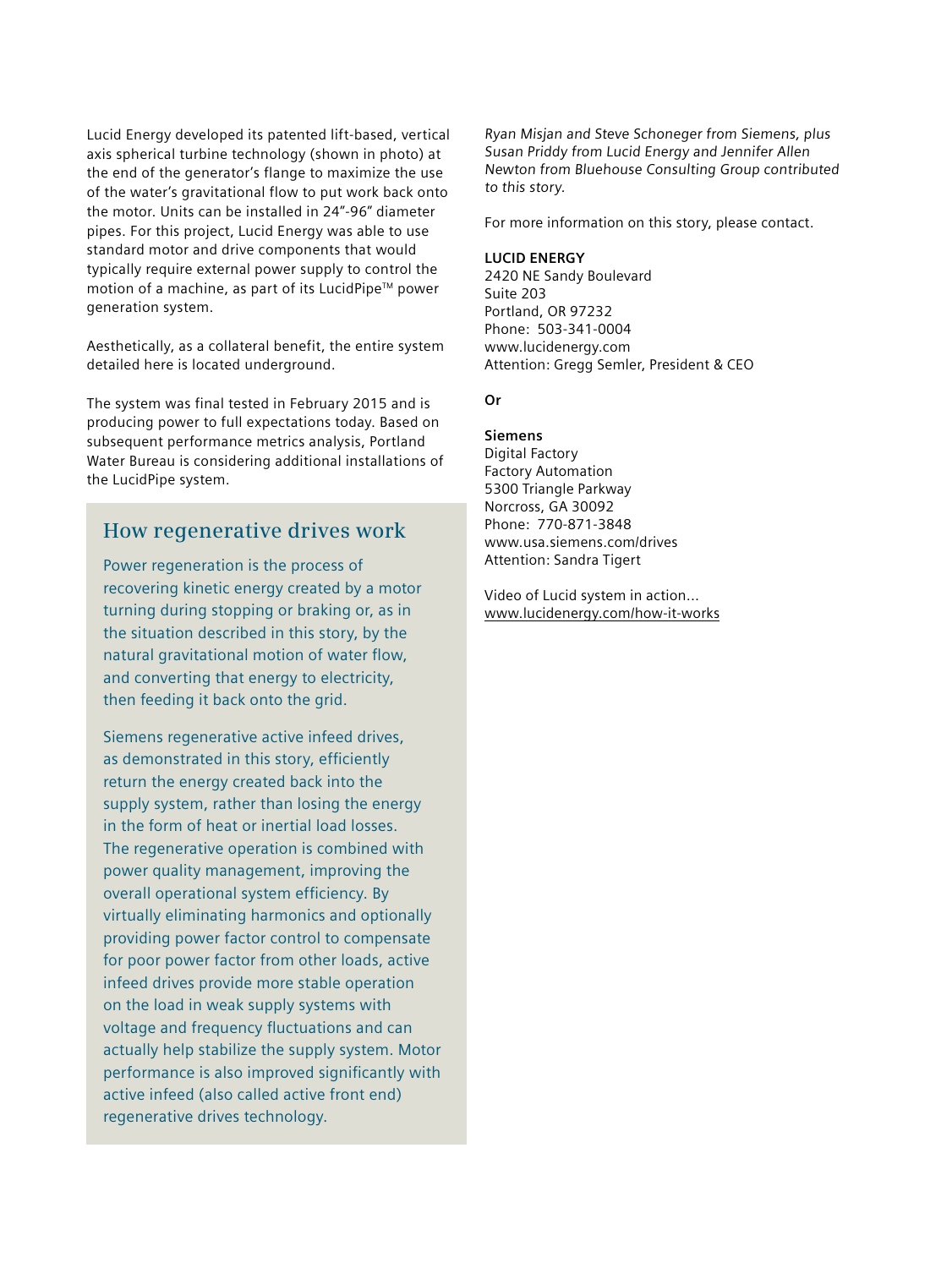Lucid Energy developed its patented lift-based, vertical axis spherical turbine technology (shown in photo) at the end of the generator's flange to maximize the use of the water's gravitational flow to put work back onto the motor. Units can be installed in 24"-96" diameter pipes. For this project, Lucid Energy was able to use standard motor and drive components that would typically require external power supply to control the motion of a machine, as part of its LucidPipe™ power generation system.

Aesthetically, as a collateral benefit, the entire system detailed here is located underground.

The system was final tested in February 2015 and is producing power to full expectations today. Based on subsequent performance metrics analysis, Portland Water Bureau is considering additional installations of the LucidPipe system.

## **How regenerative drives work**

Power regeneration is the process of recovering kinetic energy created by a motor turning during stopping or braking or, as in the situation described in this story, by the natural gravitational motion of water flow, and converting that energy to electricity, then feeding it back onto the grid.

Siemens regenerative active infeed drives, as demonstrated in this story, efficiently return the energy created back into the supply system, rather than losing the energy in the form of heat or inertial load losses. The regenerative operation is combined with power quality management, improving the overall operational system efficiency. By virtually eliminating harmonics and optionally providing power factor control to compensate for poor power factor from other loads, active infeed drives provide more stable operation on the load in weak supply systems with voltage and frequency fluctuations and can actually help stabilize the supply system. Motor performance is also improved significantly with active infeed (also called active front end) regenerative drives technology.

Ryan Misjan and Steve Schoneger from Siemens, plus Susan Priddy from Lucid Energy and Jennifer Allen Newton from Bluehouse Consulting Group contributed to this story.

For more information on this story, please contact.

## **LUCID ENERGY**

2420 NE Sandy Boulevard Suite 203 Portland, OR 97232 Phone: 503-341-0004 www.lucidenergy.com Attention: Gregg Semler, President & CEO

**Or**

## **Siemens**

Digital Factory Factory Automation 5300 Triangle Parkway Norcross, GA 30092 Phone: 770-871-3848 www.usa.siemens.com/drives Attention: Sandra Tigert

Video of Lucid system in action... www.lucidenergy.com/how-it-works